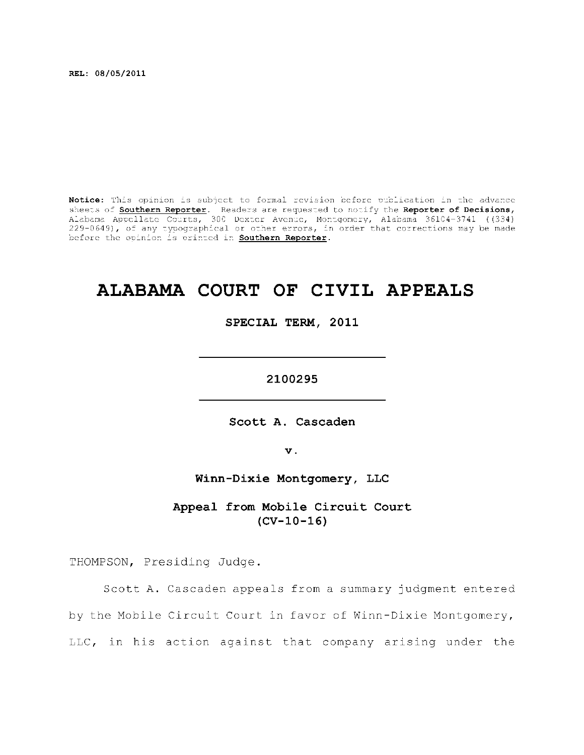**REL: 08/05/2011** 

Notice: This opinion is subject to formal revision before publication in the advance sheets of **Southern Reporter**. Readers are requested to notify the Reporter of Decisions, Alabama Appellat e Courts , 300 Dexte r Avenue, Montgomery, Alabama 36104-3741 ((334) 229-0649), of any typographical or other errors, in order that corrections may be made before the opinion is printed in **Southern Reporter**.

# **ALABAMA COURT OF CIVIL APPEALS**

**SPECIAL TERM, 2011** 

**2100295** 

**Scott A. Cascaden** 

**v.** 

**Winn-Dixie Montgomery, LLC** 

Appeal from Mobile Circuit Court **(CV-10-16)** 

THOMPSON, Presiding Judge.

Scott A. Cascaden appeals from a summary judgment entered by the Mobile Circuit Court in favor of Winn-Dixie Montgomery, LLC, in his action against that company arising under the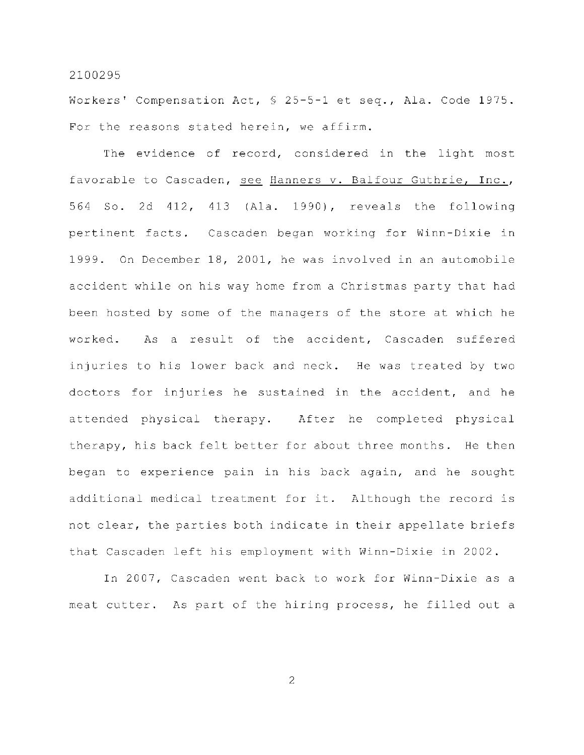Workers' Compensation Act,  $\frac{1}{2}$  5-5-1 et seq., Ala. Code 1975. For the reasons stated herein, we affirm.

The evidence of record, considered in the light most favorable to Cascaden, see Hanners v. Balfour Guthrie, Inc., 564 So. 2d 412, 413 (Ala. 1990), reveals the following pertinent facts. Cascaden began working for Winn-Dixie in 1999. On December 18, 2001, he was involved in an automobile accident while on his way home from a Christmas party that had been hosted by some of the managers of the store at which he worked. As a result of the accident, Cascaden suffered injuries to his lower back and neck. He was treated by two doctors for injuries he sustained in the accident, and he attended physical therapy. After he completed physical therapy, his back felt better for about three months. He then began to experience pain in his back again, and he sought additional medical treatment for it. Although the record is not clear, the parties both indicate in their appellate briefs that Cascaden left his employment with Winn-Dixie in 2002.

In 2007, Cascaden went back to work for Winn-Dixie as a meat cutter. As part of the hiring process, he filled out a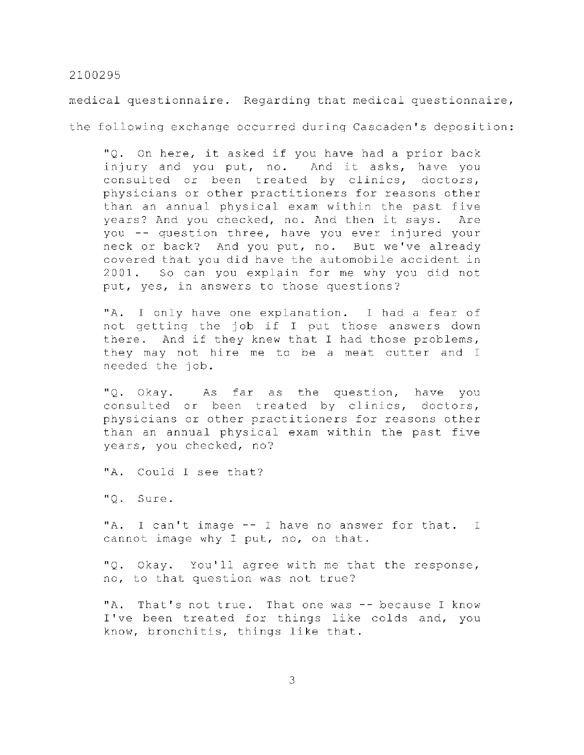medical questionnaire. Regarding that medical questionnaire,

the following exchange occurred during Cascaden's deposition:

"Q. On here, it asked if you have had a prior back injury and you put, no. And it asks, have you consulted or been treated by clinics, doctors, physicians or other practitioners for reasons other than an annual physical exam within the past five years? And you checked, no. And then it says. Are you -- question three, have you ever injured your neck or back? And you put, no. But we've already covered that you did have the automobile accident in 2001. So can you explain for me why you did not put, yes, in answers to those questions?

"A. I only have one explanation. I had a fear of not getting the job if I put those answers down there. And if they knew that I had those problems, they may not hire me to be a meat cutter and I needed the job.

"Q. Okay. As far as the question, have you consulted or been treated by clinics, doctors, physicians or other practitioners for reasons other than an annual physical exam within the past five years, you checked, no?

"A. Could I see that?

"Q. Sure .

"A. I can't image -- I have no answer for that. I cannot image why I put, no, on that.

"Q. Okay. You'll agree with me that the response, no, to that question was not true?

"A. That's not true. That one was -- because I know I've been treated for things like colds and, you know, bronchitis, things like that.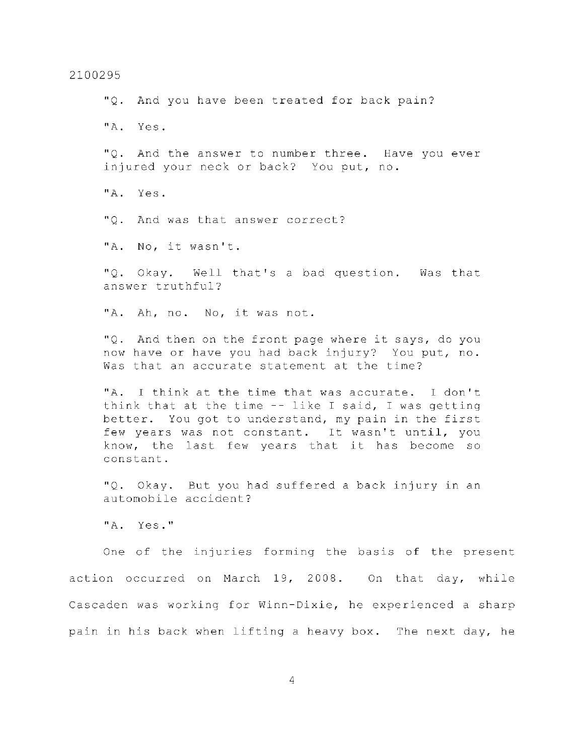"Q. And you have been treated for back pain? "A. Yes . "Q. And the answer to number three. Have you ever injured your neck or back? You put, no. "A. Yes . "O. And was that answer correct? "A. No, it wasn't. "Q. Okay. Well that's a bad question. Was that answer truthful? "A. Ah, no. No, it was not. "Q. And then on the front page where it says, do you now have or have you had back injury? You put, no. Was that an accurate statement at the time? "A. I think at the time that was accurate. I don't think that at the time  $-$ - like I said, I was getting better. You got to understand, my pain in the first few years was not constant. It wasn't until, you know, the last few years that it has become so constant . "Q. Okay. But you had suffered a back injury in an automobile accident? "A. Yes." One of the injuries forming the basis of the present action occurred on March 19, 2008. On that day, while Cascaden was working for Winn-Dixie, he experienced a sharp

2100295

4

pain in his back when lifting a heavy box. The next day, he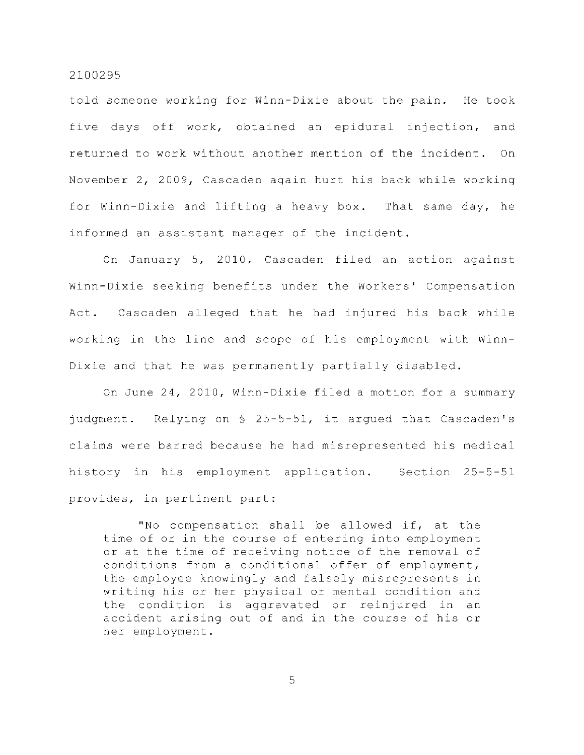told someone working for Winn-Dixie about the pain. He took five days off work, obtained an epidural injection, and returned to work without another mention of the incident. On November 2, 2009, Cascaden again hurt his back while working for Winn-Dixie and lifting a heavy box. That same day, he informed an assistant manager of the incident.

On January 5, 2010, Cascaden filed an action against Winn-Dixie seeking benefits under the Workers' Compensation Act. Cascaden alleged that he had injured his back while working in the line and scope of his employment with Winn-Dixie and that he was permanently partially disabled.

On June 24, 2010, Winn-Dixie filed a motion for a summary judgment. Relying on  $\S$  25-5-51, it argued that Cascaden's claims were barred because he had misrepresented his medical history in his employment application. Section 25-5-51 provides, in pertinent part:

"No compensation shall be allowed if, at the time of or in the course of entering into employment or at the time of receiving notice of the removal of conditions from a conditional offer of employment, the employee knowingly and falsely misrepresents in writing his or her physical or mental condition and the condition is aggravated or reinjured in an accident arising out of and in the course of his or her employment.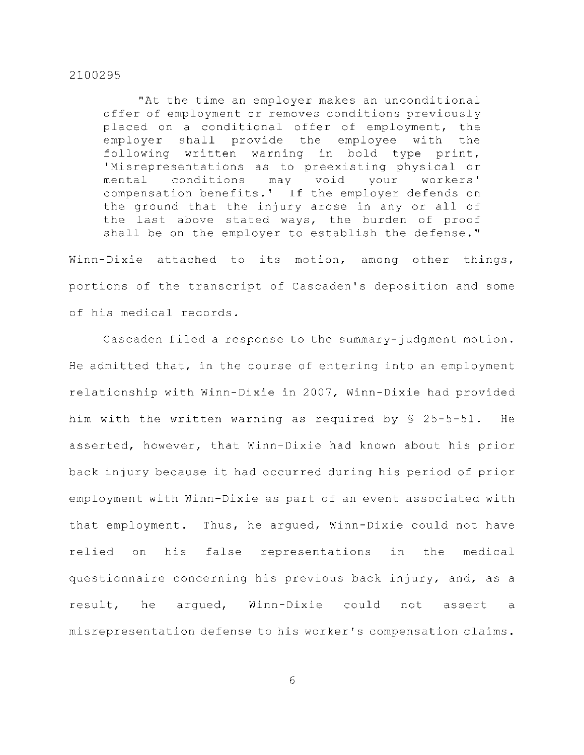"At the time an employer makes an unconditional offer of employment or removes conditions previously placed on a conditional offer of employment, the employer shall provide the employee with the following written warning in bold type print, 'Misrepresentations as to preexisting physical or mental conditions may void your workers' compensation benefits.' If the employer defends on the ground that the injury arose in any or all of the last above stated ways, the burden of proof shall be on the employer to establish the defense."

Winn-Dixie attached to its motion, among other things, portions of the transcript of Cascaden's deposition and some of his medical records.

Cascaden filed a response to the summary-judgment motion. He admitted that, in the course of entering into an employment relationship with Winn-Dixie in 2007, Winn-Dixie had provided him with the written warning as required by  $\S$  25-5-51. He asserted, however, that Winn-Dixie had known about his prior back injury because it had occurred during his period of prior employment with Winn-Dixie as part of an event associated with that employment. Thus, he argued, Winn-Dixie could not have relied on his false representations in the medical questionnaire concerning his previous back injury, and, as a result, he arqued, Winn-Dixie could not assert a misrepresentation defense to his worker's compensation claims.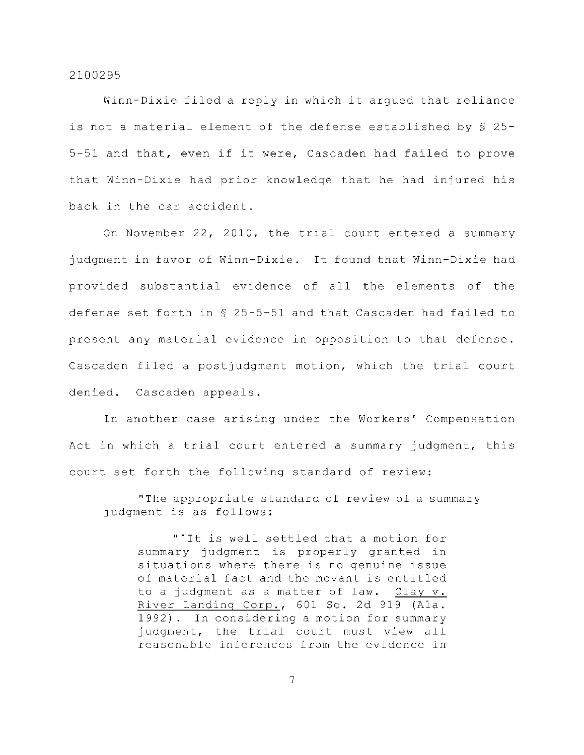Winn-Dixie filed a reply in which it arqued that reliance is not a material element of the defense established by  $\S$  25-5-51 and that, even if it were, Cascaden had failed to prove that Winn-Dixie had prior knowledge that he had injured his back in the car accident.

On November 22, 2010, the trial court entered a summary judgment in favor of Winn-Dixie. It found that Winn-Dixie had provided substantial evidence of all the elements of the defense set forth in  $\S$  25-5-51 and that Cascaden had failed to present any material evidence in opposition to that defense. Cascaden filed a postjudgment motion, which the trial court denied. Cascaden appeals.

In another case arising under the Workers' Compensation Act in which a trial court entered a summary judgment, this court set forth the following standard of review:

"The appropriate standard of review of a summary judgment is as follows:

"'It is well settled that a motion for summary judgment is properly granted in situations where there is no genuine issue of material fact and the movant is entitled to a judgment as a matter of law. Clay v. River Landing Corp., 601 So. 2d 919 (Ala. 1992). In considering a motion for summary judgment, the trial court must view all reasonable inferences from the evidence in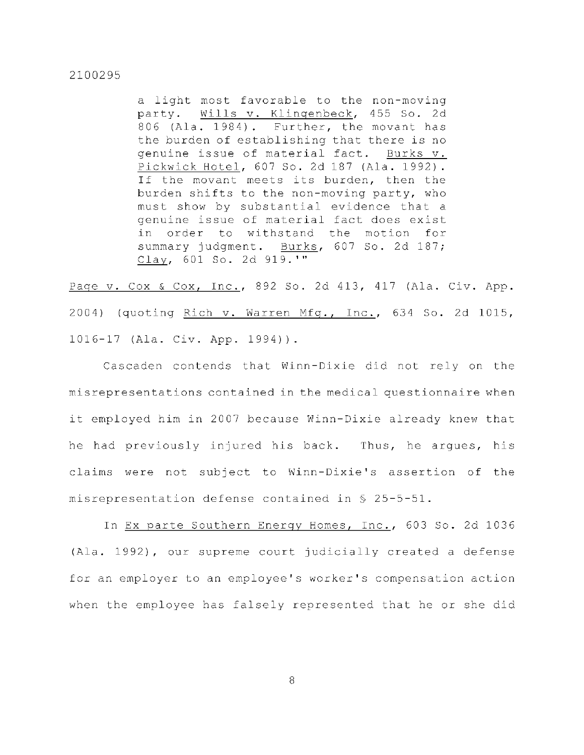a light most favorable to the non-moving party. Wills v. Klingenbeck, 455 So. 2d 806 (Ala. 1984). Further, the movant has the burden of establishing that there is no genuine issue of material fact. Burks v. Pickwick Hotel, 607 So. 2d 187 (Ala. 1992). If the movant meets its burden, then the burden shifts to the non-moving party, who must show by substantial evidence that a genuine issue of material fact does exist in order to withstand the motion for summary judgment. Burks, 607 So. 2d 187; Clay, 601 So. 2d 919.'"

Page v. Cox & Cox, Inc., 892 So. 2d 413, 417 (Ala. Civ. App. 2004) (quoting Rich v. Warren Mfg., Inc., 634 So. 2d 1015, 1016-17 (Ala. Civ. App. 1994)).

Cascaden contends that Winn-Dixie did not rely on the misrepresentations contained in the medical questionnaire when it employed him in 2007 because Winn-Dixie already knew that he had previously injured his back. Thus, he argues, his claims were not subject to Winn-Dixie's assertion of the misrepresentation defense contained in  $\S$  25-5-51.

In Ex parte Southern Energy Homes, Inc., 603 So. 2d 1036 (Ala. 1992), our supreme court judicially created a defense for an employer to an employee's worker's compensation action when the employee has falsely represented that he or she did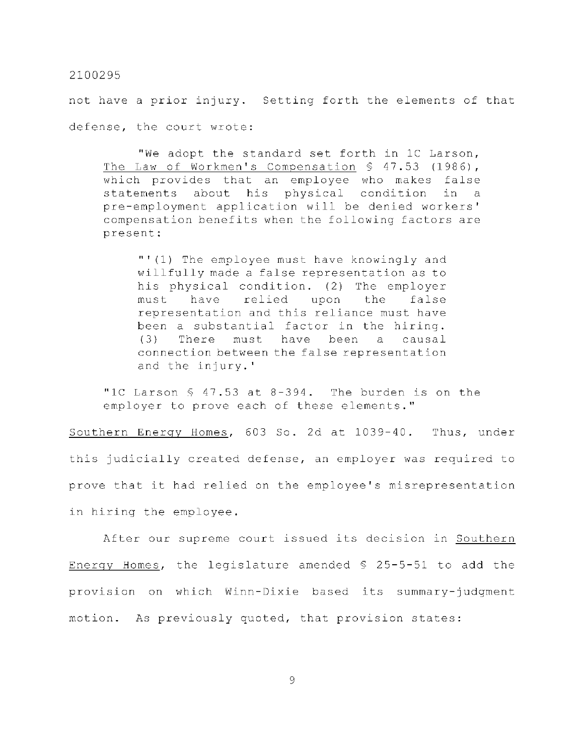not have a prior injury. Setting forth the elements of that defense, the court wrote:

"We adopt the standard set forth in 1C Larson, The Law of Workmen's Compensation  $\frac{1}{5}$  47.53 (1986), which provides that an employee who makes false statements about his physical condition in a pre-employment application will be denied workers' compensation benefits when the following factors are present :

"'(1) The employee must have knowingly and willfully made a false representation as to his physical condition. (2) The employer must have relied upon the false representation and this reliance must have been a substantial factor in the hiring.  $(3)$  There must have been a causal connection between the false representation and the injury.'

"IC Larson  $\frac{6}{5}$  47.53 at 8-394. The burden is on the employer to prove each of these elements."

Southern Energy Homes, 603 So. 2d at 1039-40. Thus, under this judicially created defense, an employer was required to prove that it had relied on the employee's misrepresentation in hiring the employee.

After our supreme court issued its decision in Southern Energy Homes, the legislature amended  $\frac{1}{2}$  25-5-51 to add the provision on which Winn-Dixie based its summary-judgment motion. As previously quoted, that provision states: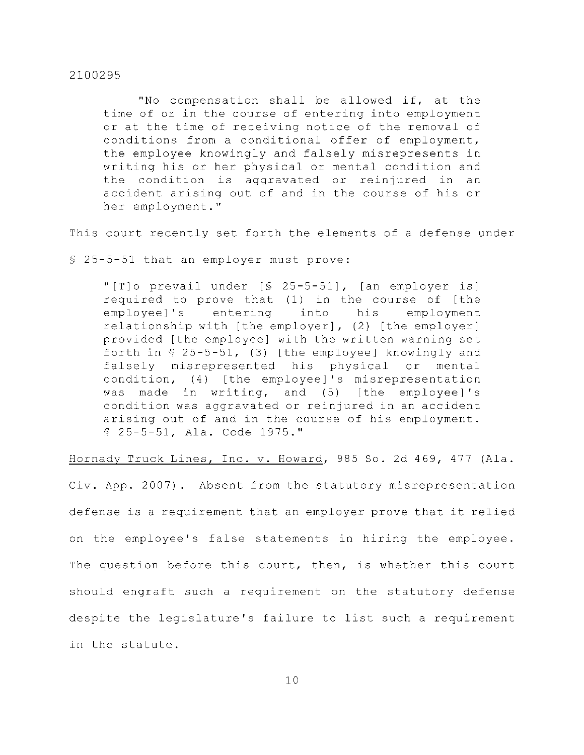"No compensation shall be allowed if, at the time of or in the course of entering into employment or at the time of receiving notice of the removal of conditions from a conditional offer of employment, the employee knowingly and falsely misrepresents in writing his or her physical or mental condition and the condition is aggravated or reinjured in an accident arising out of and in the course of his or her employment."

This court recently set forth the elements of a defense under

 $$25-5-51$  that an employer must prove:

"[T] o prevail under [§ 25-5-51], [an employer is] required to prove that  $(1)$  in the course of [the employee]'s entering into his employment relationship with [the employer],  $(2)$  [the employer] provided [the employee] with the written warning set forth in  $$ 25-5-51$ , (3) [the employee] knowingly and falsely misrepresented his physical or mental condition, (4) [the employee]'s misrepresentation was made in writing, and  $(5)$  [the employee]'s condition was aggravated or reinjured in an accident arising out of and in the course of his employment. § 25-5-51, Ala. Code 1975."

Hornady Truck Lines, Inc. v. Howard, 985 So. 2d 469, 477 (Ala.

Civ. App. 2007). Absent from the statutory misrepresentation defense is a requirement that an employer prove that it relied on the employee's false statements in hiring the employee. The question before this court, then, is whether this court should engraft such a requirement on the statutory defense despite the legislature's failure to list such a requirement in the statute.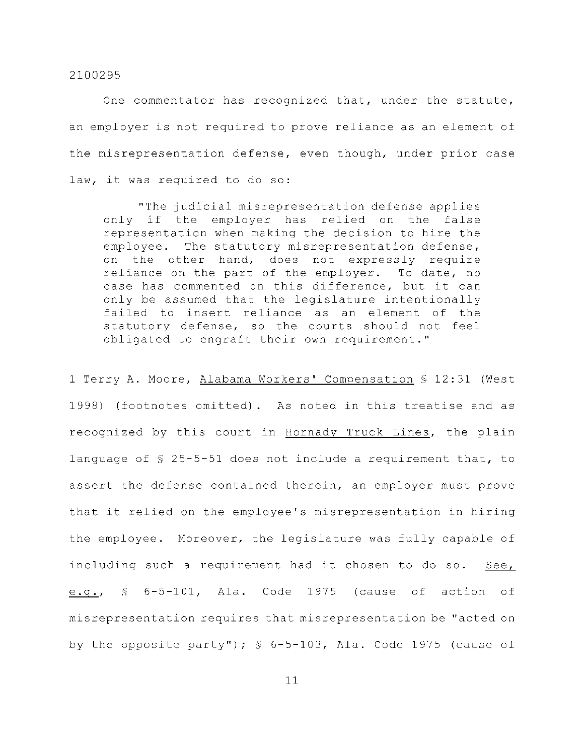One commentator has recognized that, under the statute, an employer is not required to prove reliance as an element of the misrepresentation defense, even though, under prior case law, it was required to do so:

"The judicial misrepresentation defense applies only if the employer has relied on the false representation when making the decision to hire the employee. The statutory misrepresentation defense, on the other hand, does not expressly require reliance on the part of the employer. To date, no case has commented on this difference, but it can only be assumed that the legislature intentionally failed to insert reliance as an element of the statutory defense, so the courts should not feel obligated to engraft their own requirement."

1 Terry A. Moore, Alabama Workers' Compensation § 12:31 (West 1998) (footnotes omitted). As noted in this treatise and as recognized by this court in Hornady Truck Lines, the plain language of  $$$  25-5-51 does not include a requirement that, to assert the defense contained therein, an employer must prove that it relied on the employee's misrepresentation in hiring the employee. Moreover, the legislature was fully capable of including such a requirement had it chosen to do so. See, e.g.,  $\frac{1}{2}$  6-5-101, Ala. Code 1975 (cause of action of misrepresentation requires that misrepresentation be "acted on by the opposite party");  $\frac{1}{5}$  6-5-103, Ala. Code 1975 (cause of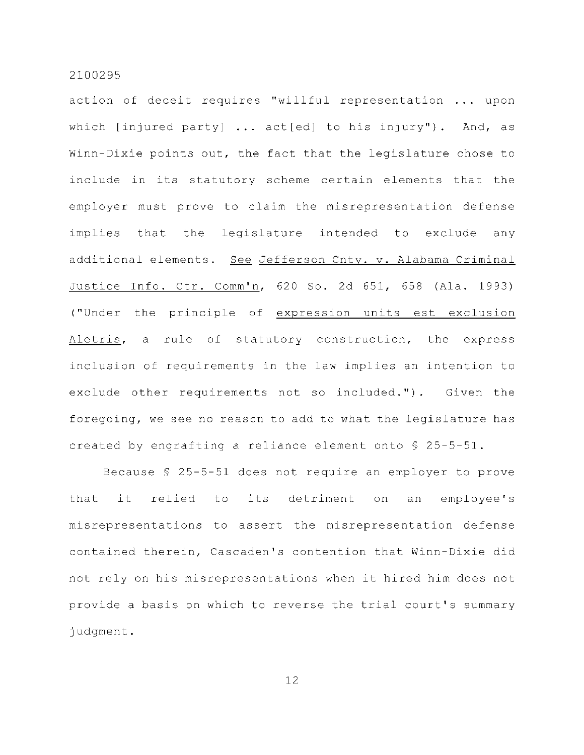action of deceit requires "willful representation ... upon which [injured party]  $\ldots$  act[ed] to his injury"). And, as Winn-Dixie points out, the fact that the legislature chose to include in its statutory scheme certain elements that the employer must prove to claim the misrepresentation defense implies that the legislature intended to exclude any additional elements. See Jefferson Cnty. v. Alabama Criminal Justice Info. Ctr. Comm'n, 620 So. 2d 651, 658 (Ala. 1993) ("Under the principle of expression units est exclusion Aletris, a rule of statutory construction, the express inclusion of requirements in the law implies an intention to exclude other requirements not so included."). Given the foregoing, we see no reason to add to what the legislature has created by engrafting a reliance element onto  $\frac{6}{5}$  25-5-51.

Because  $$ 25-5-51$  does not require an employer to prove that it relied to its detriment on an employee's misrepresentations to assert the misrepresentation defense contained therein, Cascaden's contention that Winn-Dixie did not rely on his misrepresentations when it hired him does not provide a basis on which to reverse the trial court's summary judgment .